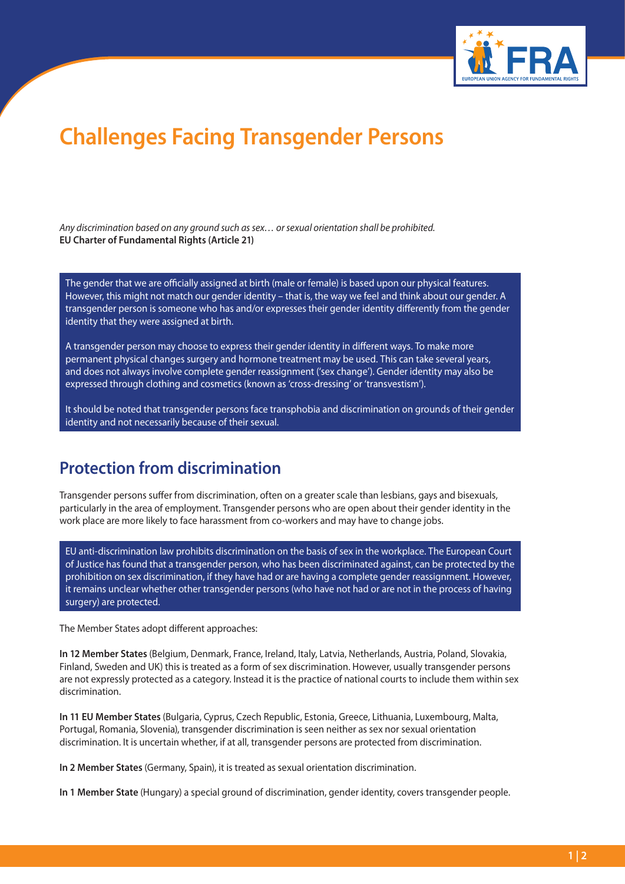

## **Challenges Facing Transgender Persons**

*Any discrimination based on any ground such as sex… or sexual orientation shall be prohibited.* **EU Charter of Fundamental Rights (Article 21)**

The gender that we are officially assigned at birth (male or female) is based upon our physical features. However, this might not match our gender identity – that is, the way we feel and think about our gender. A transgender person is someone who has and/or expresses their gender identity differently from the gender identity that they were assigned at birth.

A transgender person may choose to express their gender identity in different ways. To make more permanent physical changes surgery and hormone treatment may be used. This can take several years, and does not always involve complete gender reassignment ('sex change'). Gender identity may also be expressed through clothing and cosmetics (known as 'cross-dressing' or 'transvestism').

It should be noted that transgender persons face transphobia and discrimination on grounds of their gender identity and not necessarily because of their sexual.

## **Protection from discrimination**

Transgender persons suffer from discrimination, often on a greater scale than lesbians, gays and bisexuals, particularly in the area of employment. Transgender persons who are open about their gender identity in the work place are more likely to face harassment from co-workers and may have to change jobs.

EU anti-discrimination law prohibits discrimination on the basis of sex in the workplace. The European Court of Justice has found that a transgender person, who has been discriminated against, can be protected by the prohibition on sex discrimination, if they have had or are having a complete gender reassignment. However, it remains unclear whether other transgender persons (who have not had or are not in the process of having surgery) are protected.

The Member States adopt different approaches:

**In 12 Member States** (Belgium, Denmark, France, Ireland, Italy, Latvia, Netherlands, Austria, Poland, Slovakia, Finland, Sweden and UK) this is treated as a form of sex discrimination. However, usually transgender persons are not expressly protected as a category. Instead it is the practice of national courts to include them within sex discrimination.

**In 11 EU Member States** (Bulgaria, Cyprus, Czech Republic, Estonia, Greece, Lithuania, Luxembourg, Malta, Portugal, Romania, Slovenia), transgender discrimination is seen neither as sex nor sexual orientation discrimination. It is uncertain whether, if at all, transgender persons are protected from discrimination.

**In 2 Member States** (Germany, Spain), it is treated as sexual orientation discrimination.

**In 1 Member State** (Hungary) a special ground of discrimination, gender identity, covers transgender people.